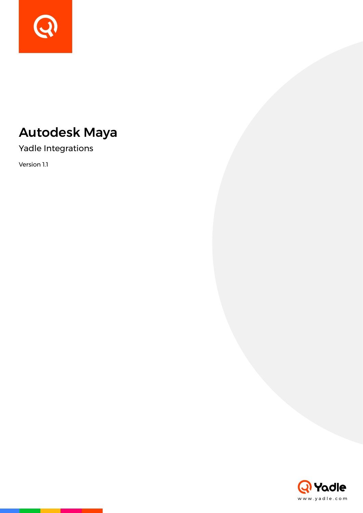

# Autodesk Maya

Yadle Integrations

Version 1.1

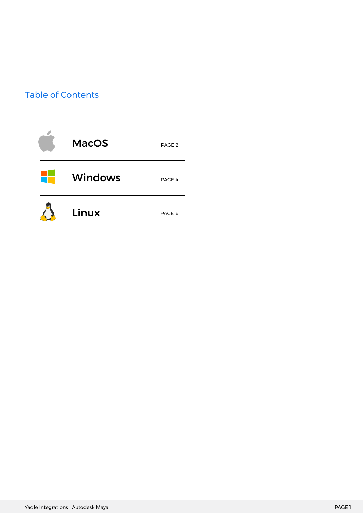## Table of Contents

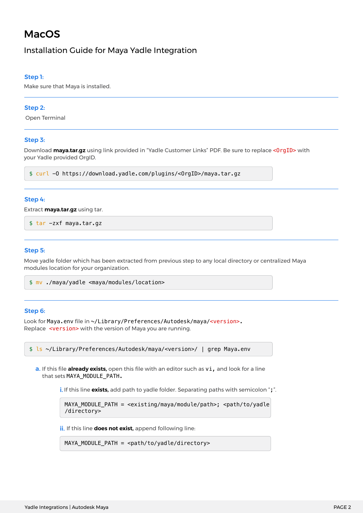# MacOS

### Installation Guide for Maya Yadle Integration

#### Step 1:

Make sure that Maya is installed.

#### Step 2:

Open Terminal

#### Step 3:

Download **maya.tar.gz** using link provided in "Yadle Customer Links" PDF. Be sure to replace <OrgID> with your Yadle provided OrgID.

\$ curl -O https://download.yadle.com/plugins/<OrgID>/maya.tar.gz

#### Step 4:

Extract **maya.tar.gz** using tar.

\$ tar -zxf maya.tar.gz

#### Step 5:

Move yadle folder which has been extracted from previous step to any local directory or centralized Maya modules location for your organization.

\$ mv ./maya/yadle <maya/modules/location>

#### Step 6:

```
Look for Maya.env file in ~/Library/Preferences/Autodesk/maya/<version>.
Replace <version> with the version of Maya you are running.
```
\$ ls ~/Library/Preferences/Autodesk/maya/<version>/ | grep Maya.env

**a.** If this file **already exists,** open this file with an editor such as **vi,** and look for a line that sets MAYA\_MODULE\_PATH.

i. If this line **exists**, add path to yadle folder. Separating paths with semicolon ";".

```
MAYA_MODULE_PATH = <existing/maya/module/path>; <path/to/yadle
/directory>
```
**ii.** If this line **does not exist**, append following line:

MAYA\_MODULE\_PATH = <path/to/yadle/directory>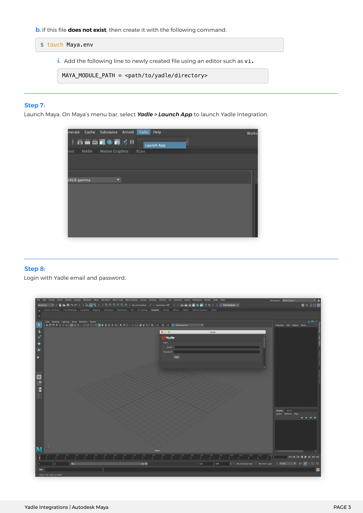**b.** If this file **does not exist**, then create it with the following command:

\$ touch Maya.env

i. Add the following line to newly created file using an editor such as vi.

MAYA\_MODULE\_PATH = <path/to/yadle/directory>

#### Step 7:

Launch Maya. On Maya's menu bar, select *Yadle > Launch App* to launch Yadle Integration.



#### Step 8:

Login with Yadle email and password.

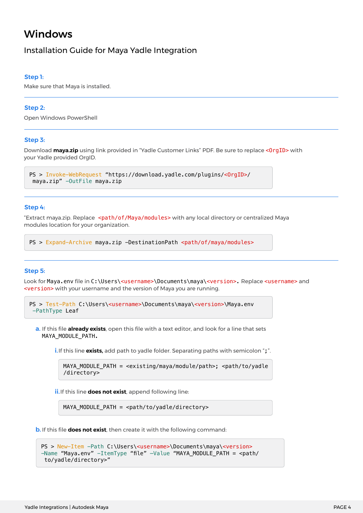# Windows

### Installation Guide for Maya Yadle Integration

#### Step 1:

Make sure that Maya is installed.

#### Step 2:

Open Windows PowerShell

#### Step 3:

Download maya.zip using link provided in "Yadle Customer Links" PDF. Be sure to replace <0rgID> with your Yadle provided OrgID.

```
PS > Invoke-WebRequest "https://download.yadle.com/plugins/<OrgID>/
 maya.zip" -OutFile maya.zip
```
#### Step 4:

"Extract maya.zip. Replace <path/of/Maya/modules> with any local directory or centralized Maya modules location for your organization.

PS > Expand-Archive maya.zip -DestinationPath <path/of/maya/modules>

#### Step 5:

Look for Maya.env file in C:\Users\<username>\Documents\maya\<version>. Replace <username> and <version> with your username and the version of Maya you are running.

```
PS > Test-Path C:\Users\<username>\Documents\maya\<version>\Maya.env
  -PathType Leaf
```
**a.** If this file **already exists**, open this file with a text editor, and look for a line that sets MAYA\_MODULE\_PATH.

i.If this line **exists,** add path to yadle folder. Separating paths with semicolon ";".

MAYA\_MODULE\_PATH = <existing/maya/module/path>; <path/to/yadle /directory>

**ii.** If this line **does not exist**, append following line:

MAYA\_MODULE\_PATH = <path/to/yadle/directory>

b. If this file **does not exist**, then create it with the following command:

```
PS > New-Item -Path C:\Users\<username>\Documents\maya\<version>
-Name "Maya.env" -ItemType "file" -Value "MAYA MODULE PATH = <path/
 to/yadle/directory>"
```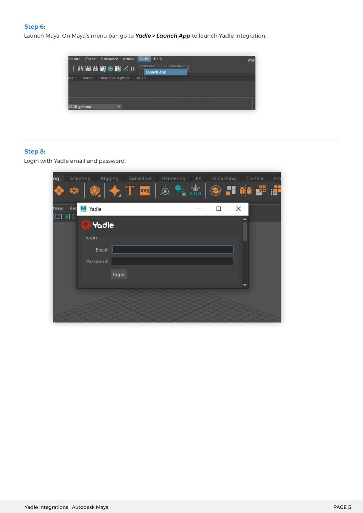#### Step 6:

Launch Maya. On Maya's menu bar, go to *Yadle > Launch App* to launch Yadle Integration.



#### Step 8:

Login with Yadle email and password.

| ng               | Sculpting Rigging Animation Rendering FX                                                                                                                                                                                                                                                                                                                                                                                                                                                                            |  |   | FX Caching Custom | Arn |
|------------------|---------------------------------------------------------------------------------------------------------------------------------------------------------------------------------------------------------------------------------------------------------------------------------------------------------------------------------------------------------------------------------------------------------------------------------------------------------------------------------------------------------------------|--|---|-------------------|-----|
|                  | $ \bigcirc \hspace{-3.04cm} \bigcirc \hspace{-3.04cm} \bigg  \bigstar \hspace{-3.04cm} \biguparrow \pi_1 \otimes \pi_2 \otimes \dots \otimes \pi_n \otimes \pi_n \otimes \pi_n \otimes \pi_n \otimes \pi_n \otimes \pi_n \otimes \pi_n \otimes \pi_n \otimes \pi_n \otimes \pi_n \otimes \pi_n \otimes \pi_n \otimes \pi_n \otimes \pi_n \otimes \pi_n \otimes \pi_n \otimes \pi_n \otimes \pi_n \otimes \pi_n \otimes \pi_n \otimes \pi_n \otimes \pi_n \otimes \pi_n \otimes \pi_n \otimes \pi_n \otimes \pi_n \$ |  |   |                   |     |
| Rer<br>how       | M Yadle                                                                                                                                                                                                                                                                                                                                                                                                                                                                                                             |  | п | ×                 |     |
| $\Box$ $\bullet$ | <b>Q</b> Yadle                                                                                                                                                                                                                                                                                                                                                                                                                                                                                                      |  |   |                   |     |
|                  | login                                                                                                                                                                                                                                                                                                                                                                                                                                                                                                               |  |   |                   |     |
|                  | Email:                                                                                                                                                                                                                                                                                                                                                                                                                                                                                                              |  |   |                   |     |
|                  | Password:                                                                                                                                                                                                                                                                                                                                                                                                                                                                                                           |  |   |                   |     |
|                  | login                                                                                                                                                                                                                                                                                                                                                                                                                                                                                                               |  |   |                   |     |
|                  |                                                                                                                                                                                                                                                                                                                                                                                                                                                                                                                     |  |   |                   |     |
|                  |                                                                                                                                                                                                                                                                                                                                                                                                                                                                                                                     |  |   |                   |     |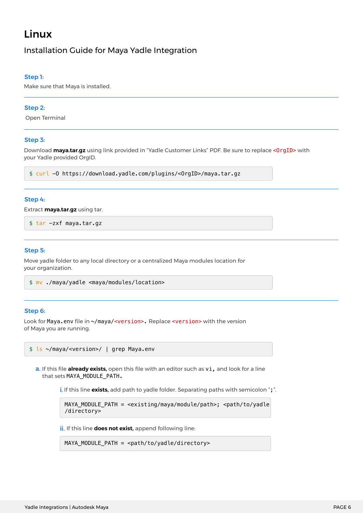# Linux

### Installation Guide for Maya Yadle Integration

#### Step 1:

Make sure that Maya is installed.

#### Step 2:

Open Terminal

#### Step 3:

Download **maya.tar.gz** using link provided in "Yadle Customer Links" PDF. Be sure to replace <OrgID> with your Yadle provided OrgID.

\$ curl -O https://download.yadle.com/plugins/<OrgID>/maya.tar.gz

#### Step 4:

Extract **maya.tar.gz** using tar.

\$ tar -zxf maya.tar.gz

#### Step 5:

Move yadle folder to any local directory or a centralized Maya modules location for your organization.

```
$ mv ./maya/yadle <maya/modules/location>
```
#### Step 6:

Look for Maya.env file in ~/maya/<version>. Replace <version> with the version of Maya you are running.

```
$ ls ~/maya/<version>/ | grep Maya.env
```
**a.** If this file **already exists,** open this file with an editor such as **vi,** and look for a line that sets MAYA\_MODULE\_PATH.

i. If this line **exists**, add path to yadle folder. Separating paths with semicolon ";".

```
MAYA_MODULE_PATH = <existing/maya/module/path>; <path/to/yadle
/directory>
```
**ii.** If this line **does not exist**, append following line:

MAYA\_MODULE\_PATH = <path/to/yadle/directory>